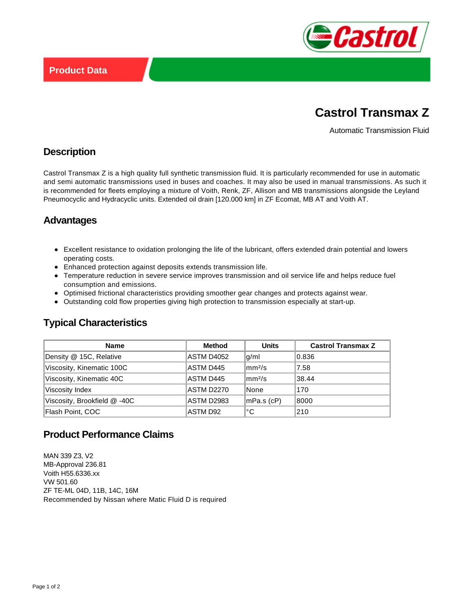

# **Castrol Transmax Z**

Automatic Transmission Fluid

### **Description**

Castrol Transmax Z is a high quality full synthetic transmission fluid. It is particularly recommended for use in automatic and semi automatic transmissions used in buses and coaches. It may also be used in manual transmissions. As such it is recommended for fleets employing a mixture of Voith, Renk, ZF, Allison and MB transmissions alongside the Leyland Pneumocyclic and Hydracyclic units. Extended oil drain [120.000 km] in ZF Ecomat, MB AT and Voith AT.

# **Advantages**

- Excellent resistance to oxidation prolonging the life of the lubricant, offers extended drain potential and lowers operating costs.
- Enhanced protection against deposits extends transmission life.
- Temperature reduction in severe service improves transmission and oil service life and helps reduce fuel consumption and emissions.
- Optimised frictional characteristics providing smoother gear changes and protects against wear.
- Outstanding cold flow properties giving high protection to transmission especially at start-up.

# **Typical Characteristics**

| <b>Name</b>                  | Method     | <b>Units</b>       | <b>Castrol Transmax Z</b> |
|------------------------------|------------|--------------------|---------------------------|
| Density @ 15C, Relative      | ASTM D4052 | q/ml               | 0.836                     |
| Viscosity, Kinematic 100C    | ASTM D445  | mm <sup>2</sup> /s | 7.58                      |
| Viscosity, Kinematic 40C     | ASTM D445  | mm <sup>2</sup> /s | 38.44                     |
| Viscosity Index              | ASTM D2270 | None               | 170                       |
| Viscosity, Brookfield @ -40C | ASTM D2983 | mPa.s (cP)         | 8000                      |
| Flash Point, COC             | ASTM D92   | °C                 | 210                       |

#### **Product Performance Claims**

MAN 339 Z3, V2 MB-Approval 236.81 Voith H55.6336.xx VW 501.60 ZF TE-ML 04D, 11B, 14C, 16M Recommended by Nissan where Matic Fluid D is required